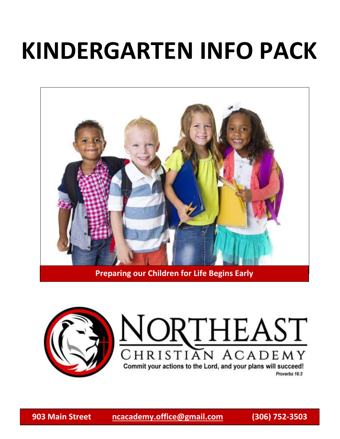# **KINDERGARTEN INFO PACK**



**Preparing our Children for Life Begins Early**



## VORTHEAST **VACADEMY**  $CHRISTIAT$ Commit your actions to the Lord, and your plans will succeed!

Proverbs 16:3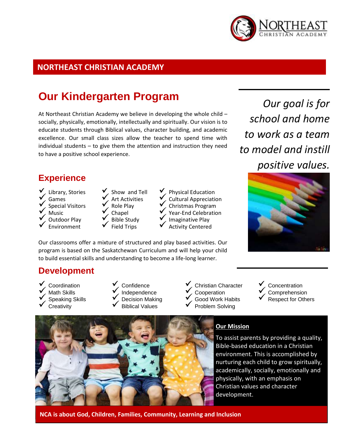

### **NORTHEAST CHRISTIAN ACADEMY**

### **Our Kindergarten Program**

At Northeast Christian Academy we believe in developing the whole child – socially, physically, emotionally, intellectually and spiritually. Our vision is to educate students through Biblical values, character building, and academic excellence. Our small class sizes allow the teacher to spend time with individual students – to give them the attention and instruction they need to have a positive school experience.

### **Experience**

- 
- 
- Library, Stories<br> Games<br> Special Visitors<br> Music<br> Outdoor Play<br> Environment
- 
- 
- Show and Tell<br>
Art Activities<br>
Role Play<br>
Chapel<br>
Bible Study<br>
Field Trips
- 
- Physical Education Cultural Appreciation Christmas Program Year-End Celebration Imaginative Play Activity Centered

Our classrooms offer a mixture of structured and play based activities. Our program is based on the Saskatchewan Curriculum and will help your child to build essential skills and understanding to become a life-long learner.

### **Development**

- 
- 
- Coordination Math Skills Speaking Skills Creativity
- 
- Confidence Independence Decision Making Biblical Values
- 
- 
- 
- 
- 
- Christian Character Cooperation Good Work Habits Problem Solving



*Our goal is for* 



- Concentration Comprehension Respect for Others
- 



#### **Our Mission**

To assist parents by providing a quality, Bible-based education in a Christian environment. This is accomplished by nurturing each child to grow spiritually, academically, socially, emotionally and physically, with an emphasis on Christian values and character development.

**NCA is about God, Children, Families, Community, Learning and Inclusion**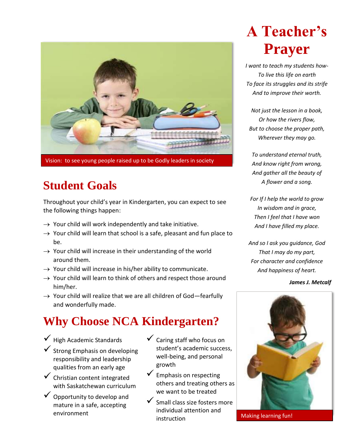

Vision: to see young people raised up to be Godly leaders in society

## **Student Goals**

Throughout your child's year in Kindergarten, you can expect to see the following things happen:

- $\rightarrow$  Your child will work independently and take initiative.
- $\rightarrow$  Your child will learn that school is a safe, pleasant and fun place to be.
- $\rightarrow$  Your child will increase in their understanding of the world around them.
- $\rightarrow$  Your child will increase in his/her ability to communicate.
- $\rightarrow$  Your child will learn to think of others and respect those around him/her.
- $\rightarrow$  Your child will realize that we are all children of God-fearfully and wonderfully made.

## **Why Choose NCA Kindergarten?**

- $\checkmark$  High Academic Standards
- $\checkmark$  Strong Emphasis on developing responsibility and leadership qualities from an early age
- $\checkmark$  Christian content integrated with Saskatchewan curriculum
- Opportunity to develop and mature in a safe, accepting environment
- $\checkmark$  Caring staff who focus on student's academic success, well-being, and personal growth
- $\checkmark$  Emphasis on respecting others and treating others as we want to be treated
- $\checkmark$  Small class size fosters more individual attention and instruction

## **A Teacher's Prayer**

*I want to teach my students how-To live this life on earth To face its struggles and its strife And to improve their worth.*

*Not just the lesson in a book, Or how the rivers flow, But to choose the proper path, Wherever they may go.*

*To understand eternal truth, And know right from wrong, And gather all the beauty of A flower and a song.*

*For If I help the world to grow In wisdom and in grace, Then I feel that I have won And I have filled my place.*

*And so I ask you guidance, God That I may do my part, For character and confidence And happiness of heart.*

*James J. Metcalf*



Making learning fun!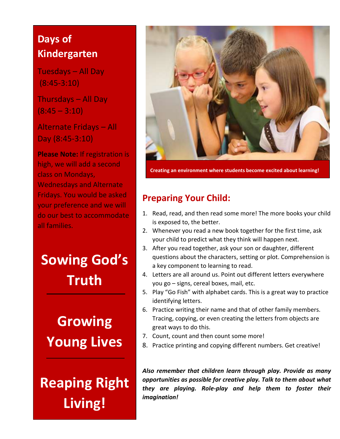## **Days of Kindergarten**

Tuesdays – All Day (8:45-3:10)

Thursdays – All Day  $(8:45 - 3:10)$ 

Alternate Fridays – All Day (8:45-3:10)

**Please Note:** If registration is high, we will add a second class on Mondays, Wednesdays and Alternate Fridays. You would be asked your preference and we will do our best to accommodate all families.

**Sowing God's Truth**

**Growing Young Lives**

**Reaping Right Living!**



**Creating an environment where students become excited about learning!**

### **Preparing Your Child:**

- 1. Read, read, and then read some more! The more books your child is exposed to, the better.
- 2. Whenever you read a new book together for the first time, ask your child to predict what they think will happen next.
- 3. After you read together, ask your son or daughter, different questions about the characters, setting or plot. Comprehension is a key component to learning to read.
- 4. Letters are all around us. Point out different letters everywhere you go – signs, cereal boxes, mail, etc.
- 5. Play "Go Fish" with alphabet cards. This is a great way to practice identifying letters.
- 6. Practice writing their name and that of other family members. Tracing, copying, or even creating the letters from objects are great ways to do this.
- 7. Count, count and then count some more!
- 8. Practice printing and copying different numbers. Get creative!

*Also remember that children learn through play. Provide as many opportunities as possible for creative play. Talk to them about what they are playing. Role-play and help them to foster their imagination!*